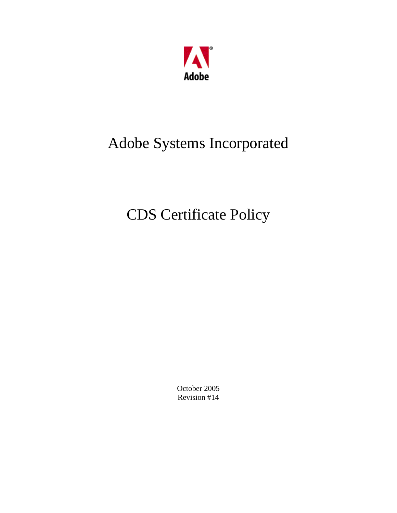

# Adobe Systems Incorporated

# CDS Certificate Policy

October 2005 Revision #14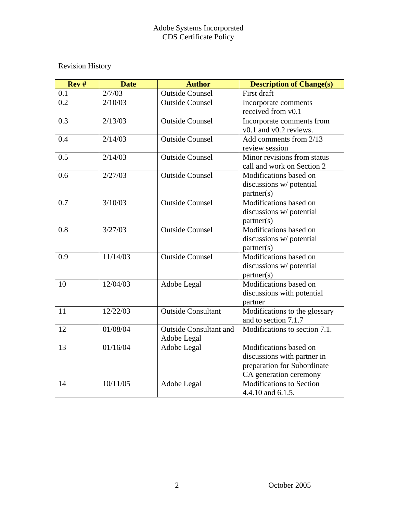## Revision History

| Rev# | <b>Date</b> | <b>Author</b>                 | <b>Description of Change(s)</b> |
|------|-------------|-------------------------------|---------------------------------|
| 0.1  | 2/7/03      | <b>Outside Counsel</b>        | First draft                     |
| 0.2  | 2/10/03     | <b>Outside Counsel</b>        | Incorporate comments            |
|      |             |                               | received from v0.1              |
| 0.3  | 2/13/03     | <b>Outside Counsel</b>        | Incorporate comments from       |
|      |             |                               | v0.1 and v0.2 reviews.          |
| 0.4  | 2/14/03     | <b>Outside Counsel</b>        | Add comments from 2/13          |
|      |             |                               | review session                  |
| 0.5  | 2/14/03     | <b>Outside Counsel</b>        | Minor revisions from status     |
|      |             |                               | call and work on Section 2      |
| 0.6  | 2/27/03     | <b>Outside Counsel</b>        | Modifications based on          |
|      |             |                               | discussions w/ potential        |
|      |             |                               | partner(s)                      |
| 0.7  | 3/10/03     | <b>Outside Counsel</b>        | Modifications based on          |
|      |             |                               | discussions w/ potential        |
|      |             |                               | partner(s)                      |
| 0.8  | 3/27/03     | <b>Outside Counsel</b>        | Modifications based on          |
|      |             |                               | discussions w/ potential        |
|      |             |                               | partner(s)                      |
| 0.9  | 11/14/03    | Outside Counsel               | Modifications based on          |
|      |             |                               | discussions w/ potential        |
|      |             |                               | partner(s)                      |
| 10   | 12/04/03    | Adobe Legal                   | Modifications based on          |
|      |             |                               | discussions with potential      |
|      |             |                               | partner                         |
| 11   | 12/22/03    | <b>Outside Consultant</b>     | Modifications to the glossary   |
|      |             |                               | and to section 7.1.7            |
| 12   | 01/08/04    | <b>Outside Consultant and</b> | Modifications to section 7.1.   |
|      |             | Adobe Legal                   |                                 |
| 13   | 01/16/04    | Adobe Legal                   | Modifications based on          |
|      |             |                               | discussions with partner in     |
|      |             |                               | preparation for Subordinate     |
|      |             |                               | CA generation ceremony          |
| 14   | 10/11/05    | Adobe Legal                   | <b>Modifications to Section</b> |
|      |             |                               | 4.4.10 and 6.1.5.               |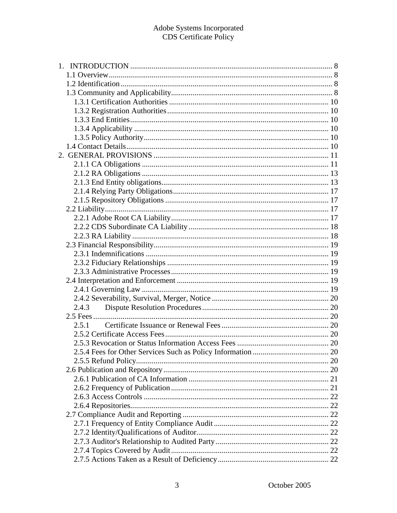| 2.4.3 |  |
|-------|--|
|       |  |
| 2.5.1 |  |
|       |  |
|       |  |
|       |  |
|       |  |
|       |  |
|       |  |
|       |  |
|       |  |
|       |  |
|       |  |
|       |  |
|       |  |
|       |  |
|       |  |
|       |  |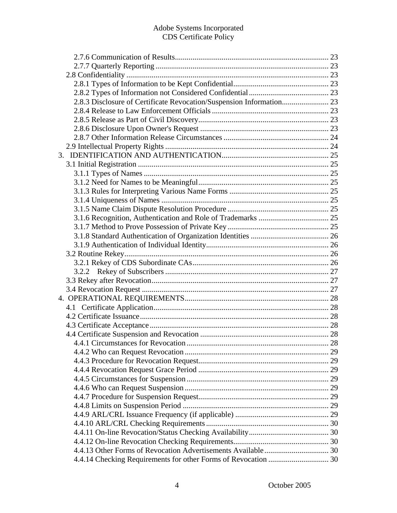| 2.8.3 Disclosure of Certificate Revocation/Suspension Information 23 |  |
|----------------------------------------------------------------------|--|
|                                                                      |  |
|                                                                      |  |
|                                                                      |  |
|                                                                      |  |
|                                                                      |  |
|                                                                      |  |
|                                                                      |  |
|                                                                      |  |
|                                                                      |  |
|                                                                      |  |
|                                                                      |  |
|                                                                      |  |
|                                                                      |  |
|                                                                      |  |
|                                                                      |  |
|                                                                      |  |
|                                                                      |  |
|                                                                      |  |
|                                                                      |  |
|                                                                      |  |
|                                                                      |  |
|                                                                      |  |
|                                                                      |  |
|                                                                      |  |
|                                                                      |  |
|                                                                      |  |
|                                                                      |  |
|                                                                      |  |
|                                                                      |  |
|                                                                      |  |
|                                                                      |  |
|                                                                      |  |
|                                                                      |  |
|                                                                      |  |
|                                                                      |  |
|                                                                      |  |
|                                                                      |  |
|                                                                      |  |
|                                                                      |  |
|                                                                      |  |
|                                                                      |  |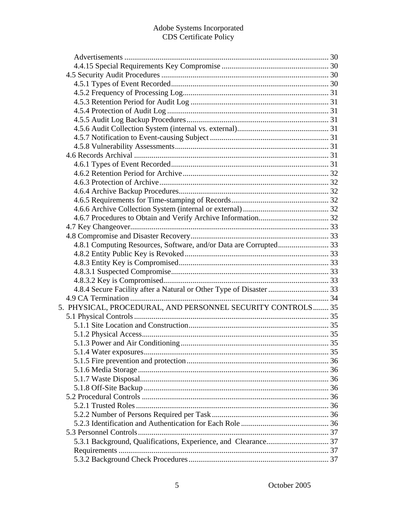| 5. PHYSICAL, PROCEDURAL, AND PERSONNEL SECURITY CONTROLS 35 |  |
|-------------------------------------------------------------|--|
|                                                             |  |
|                                                             |  |
|                                                             |  |
|                                                             |  |
|                                                             |  |
|                                                             |  |
|                                                             |  |
|                                                             |  |
|                                                             |  |
|                                                             |  |
|                                                             |  |
|                                                             |  |
|                                                             |  |
|                                                             |  |
|                                                             |  |
|                                                             |  |
|                                                             |  |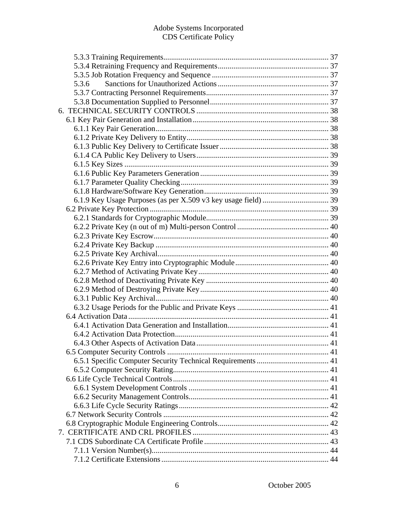| 5.3.6 |  |
|-------|--|
|       |  |
|       |  |
|       |  |
|       |  |
|       |  |
|       |  |
|       |  |
|       |  |
|       |  |
|       |  |
|       |  |
|       |  |
|       |  |
|       |  |
|       |  |
|       |  |
|       |  |
|       |  |
|       |  |
|       |  |
|       |  |
|       |  |
|       |  |
|       |  |
|       |  |
|       |  |
|       |  |
|       |  |
|       |  |
|       |  |
|       |  |
|       |  |
|       |  |
|       |  |
|       |  |
|       |  |
|       |  |
|       |  |
|       |  |
|       |  |
|       |  |
|       |  |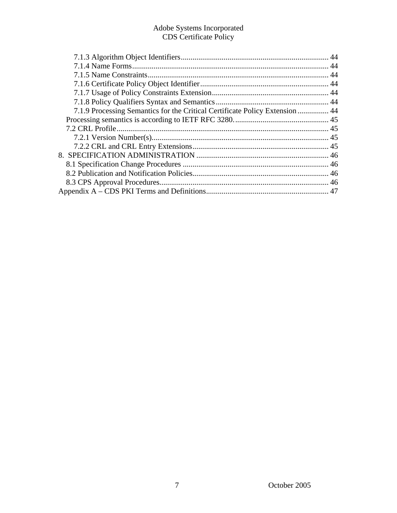| 7.1.9 Processing Semantics for the Critical Certificate Policy Extension  44 |  |
|------------------------------------------------------------------------------|--|
|                                                                              |  |
|                                                                              |  |
|                                                                              |  |
|                                                                              |  |
|                                                                              |  |
|                                                                              |  |
|                                                                              |  |
|                                                                              |  |
|                                                                              |  |
|                                                                              |  |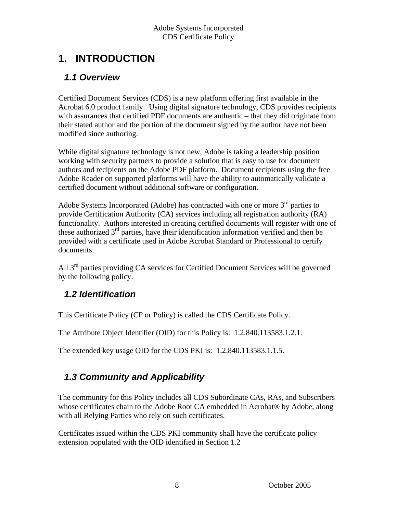# <span id="page-7-0"></span>**1. INTRODUCTION**

## *1.1 Overview*

Certified Document Services (CDS) is a new platform offering first available in the Acrobat 6.0 product family. Using digital signature technology, CDS provides recipients with assurances that certified PDF documents are authentic – that they did originate from their stated author and the portion of the document signed by the author have not been modified since authoring.

While digital signature technology is not new, Adobe is taking a leadership position working with security partners to provide a solution that is easy to use for document authors and recipients on the Adobe PDF platform. Document recipients using the free Adobe Reader on supported platforms will have the ability to automatically validate a certified document without additional software or configuration.

Adobe Systems Incorporated (Adobe) has contracted with one or more  $3<sup>rd</sup>$  parties to provide Certification Authority (CA) services including all registration authority (RA) functionality. Authors interested in creating certified documents will register with one of these authorized  $3<sup>rd</sup>$  parties, have their identification information verified and then be provided with a certificate used in Adobe Acrobat Standard or Professional to certify documents.

All 3<sup>rd</sup> parties providing CA services for Certified Document Services will be governed by the following policy.

## *1.2 Identification*

This Certificate Policy (CP or Policy) is called the CDS Certificate Policy.

The Attribute Object Identifier (OID) for this Policy is: 1.2.840.113583.1.2.1.

The extended key usage OID for the CDS PKI is: 1.2.840.113583.1.1.5.

## *1.3 Community and Applicability*

The community for this Policy includes all CDS Subordinate CAs, RAs, and Subscribers whose certificates chain to the Adobe Root CA embedded in Acrobat® by Adobe, along with all Relying Parties who rely on such certificates.

Certificates issued within the CDS PKI community shall have the certificate policy extension populated with the OID identified in Section 1.2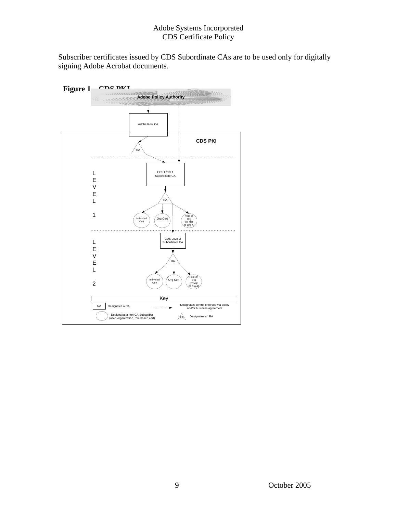Subscriber certificates issued by CDS Subordinate CAs are to be used only for digitally signing Adobe Acrobat documents.

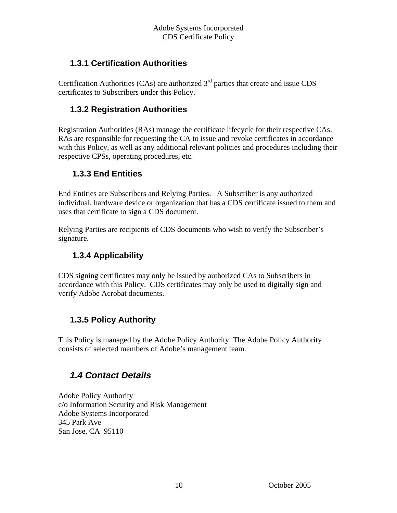#### <span id="page-9-0"></span> **1.3.1 Certification Authorities**

Certification Authorities (CAs) are authorized  $3<sup>rd</sup>$  parties that create and issue CDS certificates to Subscribers under this Policy.

#### **1.3.2 Registration Authorities**

Registration Authorities (RAs) manage the certificate lifecycle for their respective CAs. RAs are responsible for requesting the CA to issue and revoke certificates in accordance with this Policy, as well as any additional relevant policies and procedures including their respective CPSs, operating procedures, etc.

#### **1.3.3 End Entities**

End Entities are Subscribers and Relying Parties. A Subscriber is any authorized individual, hardware device or organization that has a CDS certificate issued to them and uses that certificate to sign a CDS document.

Relying Parties are recipients of CDS documents who wish to verify the Subscriber's signature.

#### **1.3.4 Applicability**

CDS signing certificates may only be issued by authorized CAs to Subscribers in accordance with this Policy. CDS certificates may only be used to digitally sign and verify Adobe Acrobat documents.

#### **1.3.5 Policy Authority**

This Policy is managed by the Adobe Policy Authority. The Adobe Policy Authority consists of selected members of Adobe's management team.

## *1.4 Contact Details*

Adobe Policy Authority c/o Information Security and Risk Management Adobe Systems Incorporated 345 Park Ave San Jose, CA 95110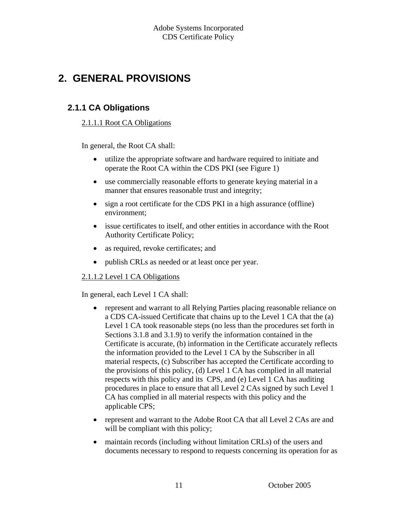# <span id="page-10-0"></span>**2. GENERAL PROVISIONS**

#### **2.1.1 CA Obligations**

#### 2.1.1.1 Root CA Obligations

In general, the Root CA shall:

- utilize the appropriate software and hardware required to initiate and operate the Root CA within the CDS PKI (see Figure 1)
- use commercially reasonable efforts to generate keying material in a manner that ensures reasonable trust and integrity;
- sign a root certificate for the CDS PKI in a high assurance (offline) environment;
- issue certificates to itself, and other entities in accordance with the Root Authority Certificate Policy;
- as required, revoke certificates; and
- publish CRLs as needed or at least once per year.

#### 2.1.1.2 Level 1 CA Obligations

In general, each Level 1 CA shall:

- represent and warrant to all Relying Parties placing reasonable reliance on a CDS CA-issued Certificate that chains up to the Level 1 CA that the (a) Level 1 CA took reasonable steps (no less than the procedures set forth in Sections 3.1.8 and 3.1.9) to verify the information contained in the Certificate is accurate, (b) information in the Certificate accurately reflects the information provided to the Level 1 CA by the Subscriber in all material respects, (c) Subscriber has accepted the Certificate according to the provisions of this policy, (d) Level 1 CA has complied in all material respects with this policy and its CPS, and (e) Level 1 CA has auditing procedures in place to ensure that all Level 2 CAs signed by such Level 1 CA has complied in all material respects with this policy and the applicable CPS;
- represent and warrant to the Adobe Root CA that all Level 2 CAs are and will be compliant with this policy;
- maintain records (including without limitation CRLs) of the users and documents necessary to respond to requests concerning its operation for as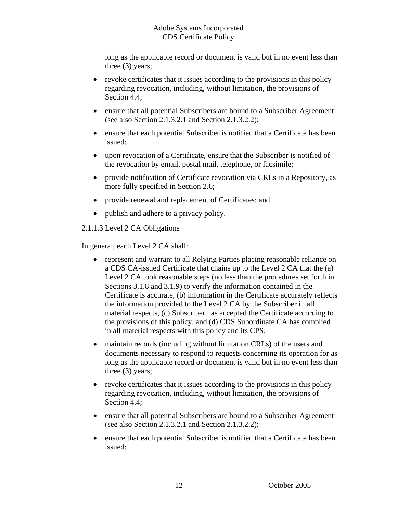long as the applicable record or document is valid but in no event less than three (3) years;

- revoke certificates that it issues according to the provisions in this policy regarding revocation, including, without limitation, the provisions of Section 4.4:
- ensure that all potential Subscribers are bound to a Subscriber Agreement (see also Section 2.1.3.2.1 and Section 2.1.3.2.2);
- ensure that each potential Subscriber is notified that a Certificate has been issued;
- upon revocation of a Certificate, ensure that the Subscriber is notified of the revocation by email, postal mail, telephone, or facsimile;
- provide notification of Certificate revocation via CRLs in a Repository, as more fully specified in Section 2.6;
- provide renewal and replacement of Certificates; and
- publish and adhere to a privacy policy.

#### 2.1.1.3 Level 2 CA Obligations

In general, each Level 2 CA shall:

- represent and warrant to all Relying Parties placing reasonable reliance on a CDS CA-issued Certificate that chains up to the Level 2 CA that the (a) Level 2 CA took reasonable steps (no less than the procedures set forth in Sections 3.1.8 and 3.1.9) to verify the information contained in the Certificate is accurate, (b) information in the Certificate accurately reflects the information provided to the Level 2 CA by the Subscriber in all material respects, (c) Subscriber has accepted the Certificate according to the provisions of this policy, and (d) CDS Subordinate CA has complied in all material respects with this policy and its CPS;
- maintain records (including without limitation CRLs) of the users and documents necessary to respond to requests concerning its operation for as long as the applicable record or document is valid but in no event less than three (3) years;
- revoke certificates that it issues according to the provisions in this policy regarding revocation, including, without limitation, the provisions of Section 4.4;
- ensure that all potential Subscribers are bound to a Subscriber Agreement (see also Section 2.1.3.2.1 and Section 2.1.3.2.2);
- ensure that each potential Subscriber is notified that a Certificate has been issued;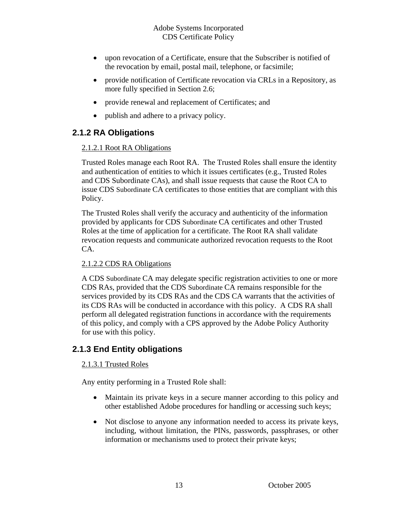- <span id="page-12-0"></span>• upon revocation of a Certificate, ensure that the Subscriber is notified of the revocation by email, postal mail, telephone, or facsimile;
- provide notification of Certificate revocation via CRLs in a Repository, as more fully specified in Section 2.6;
- provide renewal and replacement of Certificates; and
- publish and adhere to a privacy policy.

#### **2.1.2 RA Obligations**

#### 2.1.2.1 Root RA Obligations

Trusted Roles manage each Root RA. The Trusted Roles shall ensure the identity and authentication of entities to which it issues certificates (e.g., Trusted Roles and CDS Subordinate CAs), and shall issue requests that cause the Root CA to issue CDS Subordinate CA certificates to those entities that are compliant with this Policy.

The Trusted Roles shall verify the accuracy and authenticity of the information provided by applicants for CDS Subordinate CA certificates and other Trusted Roles at the time of application for a certificate. The Root RA shall validate revocation requests and communicate authorized revocation requests to the Root CA.

#### 2.1.2.2 CDS RA Obligations

A CDS Subordinate CA may delegate specific registration activities to one or more CDS RAs, provided that the CDS Subordinate CA remains responsible for the services provided by its CDS RAs and the CDS CA warrants that the activities of its CDS RAs will be conducted in accordance with this policy. A CDS RA shall perform all delegated registration functions in accordance with the requirements of this policy, and comply with a CPS approved by the Adobe Policy Authority for use with this policy.

#### **2.1.3 End Entity obligations**

#### 2.1.3.1 Trusted Roles

Any entity performing in a Trusted Role shall:

- Maintain its private keys in a secure manner according to this policy and other established Adobe procedures for handling or accessing such keys;
- Not disclose to anyone any information needed to access its private keys, including, without limitation, the PINs, passwords, passphrases, or other information or mechanisms used to protect their private keys;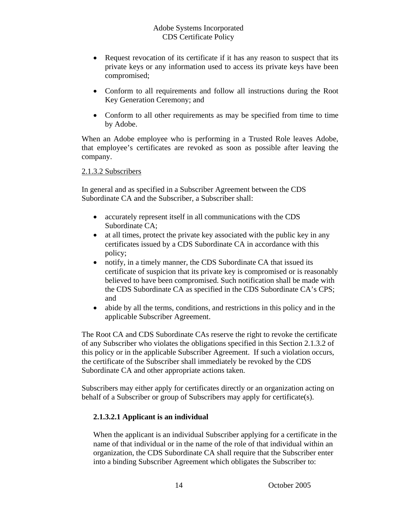- Request revocation of its certificate if it has any reason to suspect that its private keys or any information used to access its private keys have been compromised;
- Conform to all requirements and follow all instructions during the Root Key Generation Ceremony; and
- Conform to all other requirements as may be specified from time to time by Adobe.

When an Adobe employee who is performing in a Trusted Role leaves Adobe, that employee's certificates are revoked as soon as possible after leaving the company.

#### 2.1.3.2 Subscribers

In general and as specified in a Subscriber Agreement between the CDS Subordinate CA and the Subscriber, a Subscriber shall:

- accurately represent itself in all communications with the CDS Subordinate CA;
- at all times, protect the private key associated with the public key in any certificates issued by a CDS Subordinate CA in accordance with this policy;
- notify, in a timely manner, the CDS Subordinate CA that issued its certificate of suspicion that its private key is compromised or is reasonably believed to have been compromised. Such notification shall be made with the CDS Subordinate CA as specified in the CDS Subordinate CA's CPS; and
- abide by all the terms, conditions, and restrictions in this policy and in the applicable Subscriber Agreement.

The Root CA and CDS Subordinate CAs reserve the right to revoke the certificate of any Subscriber who violates the obligations specified in this Section 2.1.3.2 of this policy or in the applicable Subscriber Agreement. If such a violation occurs, the certificate of the Subscriber shall immediately be revoked by the CDS Subordinate CA and other appropriate actions taken.

Subscribers may either apply for certificates directly or an organization acting on behalf of a Subscriber or group of Subscribers may apply for certificate(s).

#### **2.1.3.2.1 Applicant is an individual**

When the applicant is an individual Subscriber applying for a certificate in the name of that individual or in the name of the role of that individual within an organization, the CDS Subordinate CA shall require that the Subscriber enter into a binding Subscriber Agreement which obligates the Subscriber to: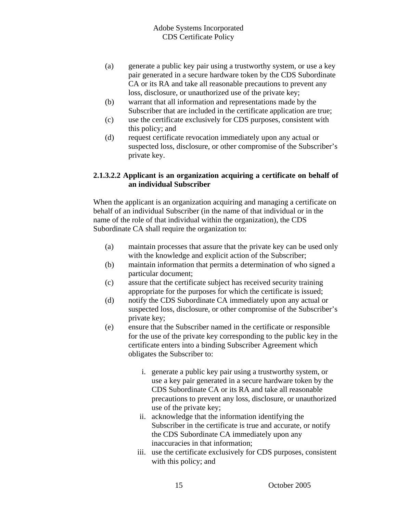- (a) generate a public key pair using a trustworthy system, or use a key pair generated in a secure hardware token by the CDS Subordinate CA or its RA and take all reasonable precautions to prevent any loss, disclosure, or unauthorized use of the private key;
- (b) warrant that all information and representations made by the Subscriber that are included in the certificate application are true;
- (c) use the certificate exclusively for CDS purposes, consistent with this policy; and
- (d) request certificate revocation immediately upon any actual or suspected loss, disclosure, or other compromise of the Subscriber's private key.

#### **2.1.3.2.2 Applicant is an organization acquiring a certificate on behalf of an individual Subscriber**

When the applicant is an organization acquiring and managing a certificate on behalf of an individual Subscriber (in the name of that individual or in the name of the role of that individual within the organization), the CDS Subordinate CA shall require the organization to:

- (a) maintain processes that assure that the private key can be used only with the knowledge and explicit action of the Subscriber;
- (b) maintain information that permits a determination of who signed a particular document;
- (c) assure that the certificate subject has received security training appropriate for the purposes for which the certificate is issued;
- (d) notify the CDS Subordinate CA immediately upon any actual or suspected loss, disclosure, or other compromise of the Subscriber's private key;
- (e) ensure that the Subscriber named in the certificate or responsible for the use of the private key corresponding to the public key in the certificate enters into a binding Subscriber Agreement which obligates the Subscriber to:
	- i. generate a public key pair using a trustworthy system, or use a key pair generated in a secure hardware token by the CDS Subordinate CA or its RA and take all reasonable precautions to prevent any loss, disclosure, or unauthorized use of the private key;
	- ii. acknowledge that the information identifying the Subscriber in the certificate is true and accurate, or notify the CDS Subordinate CA immediately upon any inaccuracies in that information;
	- iii. use the certificate exclusively for CDS purposes, consistent with this policy; and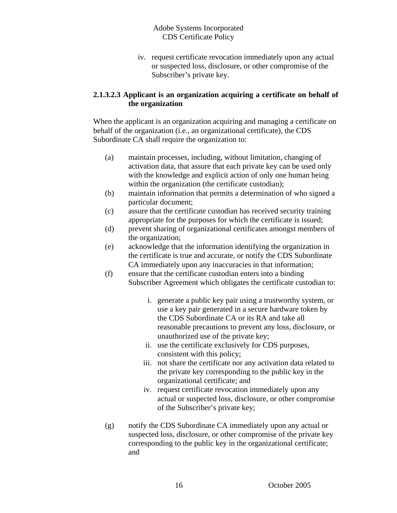iv. request certificate revocation immediately upon any actual or suspected loss, disclosure, or other compromise of the Subscriber's private key.

#### **2.1.3.2.3 Applicant is an organization acquiring a certificate on behalf of the organization**

When the applicant is an organization acquiring and managing a certificate on behalf of the organization (i.e., an organizational certificate), the CDS Subordinate CA shall require the organization to:

- (a) maintain processes, including, without limitation, changing of activation data, that assure that each private key can be used only with the knowledge and explicit action of only one human being within the organization (the certificate custodian);
- (b) maintain information that permits a determination of who signed a particular document;
- (c) assure that the certificate custodian has received security training appropriate for the purposes for which the certificate is issued;
- (d) prevent sharing of organizational certificates amongst members of the organization;
- (e) acknowledge that the information identifying the organization in the certificate is true and accurate, or notify the CDS Subordinate CA immediately upon any inaccuracies in that information;
- (f) ensure that the certificate custodian enters into a binding Subscriber Agreement which obligates the certificate custodian to:
	- i. generate a public key pair using a trustworthy system, or use a key pair generated in a secure hardware token by the CDS Subordinate CA or its RA and take all reasonable precautions to prevent any loss, disclosure, or unauthorized use of the private key;
	- ii. use the certificate exclusively for CDS purposes, consistent with this policy;
	- iii. not share the certificate nor any activation data related to the private key corresponding to the public key in the organizational certificate; and
	- iv. request certificate revocation immediately upon any actual or suspected loss, disclosure, or other compromise of the Subscriber's private key;
- (g) notify the CDS Subordinate CA immediately upon any actual or suspected loss, disclosure, or other compromise of the private key corresponding to the public key in the organizational certificate; and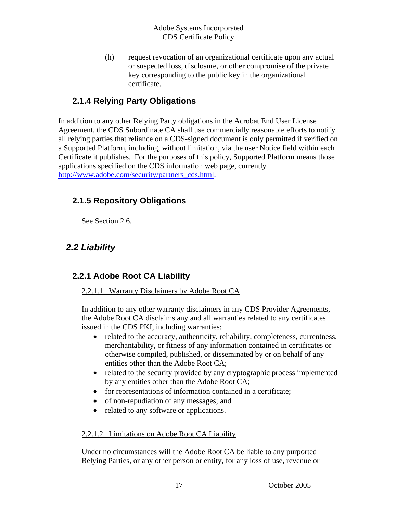<span id="page-16-0"></span>(h) request revocation of an organizational certificate upon any actual or suspected loss, disclosure, or other compromise of the private key corresponding to the public key in the organizational certificate.

#### **2.1.4 Relying Party Obligations**

In addition to any other Relying Party obligations in the Acrobat End User License Agreement, the CDS Subordinate CA shall use commercially reasonable efforts to notify all relying parties that reliance on a CDS-signed document is only permitted if verified on a Supported Platform, including, without limitation, via the user Notice field within each Certificate it publishes. For the purposes of this policy, Supported Platform means those applications specified on the CDS information web page, currently [http://www.adobe.com/security/partners\\_cds.html](http://www.adobe.com/security/partners_cds.html).

#### **2.1.5 Repository Obligations**

See Section 2.6.

## *2.2 Liability*

#### **2.2.1 Adobe Root CA Liability**

#### 2.2.1.1 Warranty Disclaimers by Adobe Root CA

In addition to any other warranty disclaimers in any CDS Provider Agreements, the Adobe Root CA disclaims any and all warranties related to any certificates issued in the CDS PKI, including warranties:

- related to the accuracy, authenticity, reliability, completeness, currentness, merchantability, or fitness of any information contained in certificates or otherwise compiled, published, or disseminated by or on behalf of any entities other than the Adobe Root CA;
- related to the security provided by any cryptographic process implemented by any entities other than the Adobe Root CA;
- for representations of information contained in a certificate;
- of non-repudiation of any messages; and
- related to any software or applications.

#### 2.2.1.2 Limitations on Adobe Root CA Liability

Under no circumstances will the Adobe Root CA be liable to any purported Relying Parties, or any other person or entity, for any loss of use, revenue or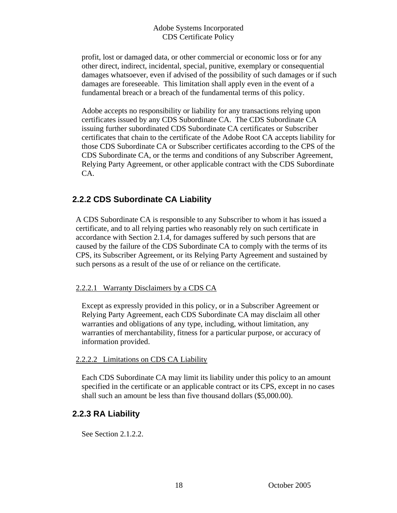<span id="page-17-0"></span>profit, lost or damaged data, or other commercial or economic loss or for any other direct, indirect, incidental, special, punitive, exemplary or consequential damages whatsoever, even if advised of the possibility of such damages or if such damages are foreseeable. This limitation shall apply even in the event of a fundamental breach or a breach of the fundamental terms of this policy.

Adobe accepts no responsibility or liability for any transactions relying upon certificates issued by any CDS Subordinate CA. The CDS Subordinate CA issuing further subordinated CDS Subordinate CA certificates or Subscriber certificates that chain to the certificate of the Adobe Root CA accepts liability for those CDS Subordinate CA or Subscriber certificates according to the CPS of the CDS Subordinate CA, or the terms and conditions of any Subscriber Agreement, Relying Party Agreement, or other applicable contract with the CDS Subordinate CA.

#### **2.2.2 CDS Subordinate CA Liability**

A CDS Subordinate CA is responsible to any Subscriber to whom it has issued a certificate, and to all relying parties who reasonably rely on such certificate in accordance with Section 2.1.4, for damages suffered by such persons that are caused by the failure of the CDS Subordinate CA to comply with the terms of its CPS, its Subscriber Agreement, or its Relying Party Agreement and sustained by such persons as a result of the use of or reliance on the certificate.

#### 2.2.2.1 Warranty Disclaimers by a CDS CA

Except as expressly provided in this policy, or in a Subscriber Agreement or Relying Party Agreement, each CDS Subordinate CA may disclaim all other warranties and obligations of any type, including, without limitation, any warranties of merchantability, fitness for a particular purpose, or accuracy of information provided.

#### 2.2.2.2 Limitations on CDS CA Liability

Each CDS Subordinate CA may limit its liability under this policy to an amount specified in the certificate or an applicable contract or its CPS, except in no cases shall such an amount be less than five thousand dollars (\$5,000.00).

#### **2.2.3 RA Liability**

See Section 2.1.2.2.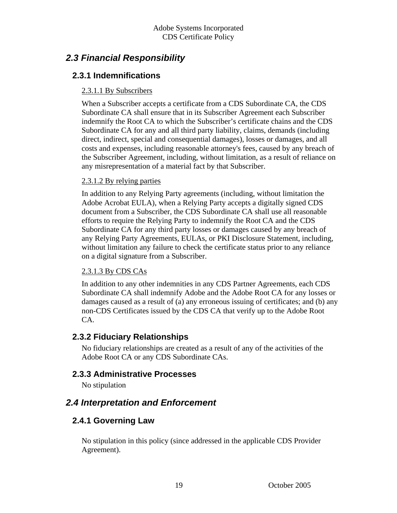## <span id="page-18-0"></span> *2.3 Financial Responsibility*

#### **2.3.1 Indemnifications**

#### 2.3.1.1 By Subscribers

When a Subscriber accepts a certificate from a CDS Subordinate CA, the CDS Subordinate CA shall ensure that in its Subscriber Agreement each Subscriber indemnify the Root CA to which the Subscriber's certificate chains and the CDS Subordinate CA for any and all third party liability, claims, demands (including direct, indirect, special and consequential damages), losses or damages, and all costs and expenses, including reasonable attorney's fees, caused by any breach of the Subscriber Agreement, including, without limitation, as a result of reliance on any misrepresentation of a material fact by that Subscriber.

#### 2.3.1.2 By relying parties

In addition to any Relying Party agreements (including, without limitation the Adobe Acrobat EULA), when a Relying Party accepts a digitally signed CDS document from a Subscriber, the CDS Subordinate CA shall use all reasonable efforts to require the Relying Party to indemnify the Root CA and the CDS Subordinate CA for any third party losses or damages caused by any breach of any Relying Party Agreements, EULAs, or PKI Disclosure Statement, including, without limitation any failure to check the certificate status prior to any reliance on a digital signature from a Subscriber.

#### 2.3.1.3 By CDS CAs

In addition to any other indemnities in any CDS Partner Agreements, each CDS Subordinate CA shall indemnify Adobe and the Adobe Root CA for any losses or damages caused as a result of (a) any erroneous issuing of certificates; and (b) any non-CDS Certificates issued by the CDS CA that verify up to the Adobe Root CA.

#### **2.3.2 Fiduciary Relationships**

No fiduciary relationships are created as a result of any of the activities of the Adobe Root CA or any CDS Subordinate CAs.

#### **2.3.3 Administrative Processes**

No stipulation

## *2.4 Interpretation and Enforcement*

#### **2.4.1 Governing Law**

No stipulation in this policy (since addressed in the applicable CDS Provider Agreement).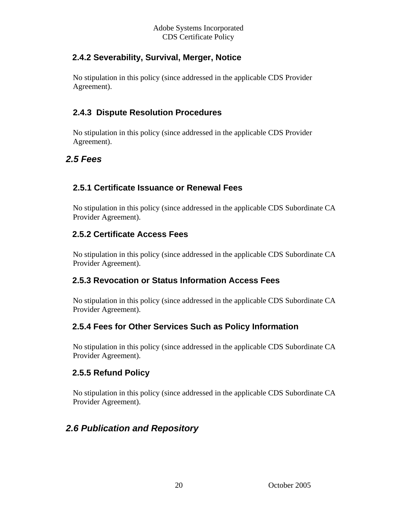#### <span id="page-19-0"></span> **2.4.2 Severability, Survival, Merger, Notice**

No stipulation in this policy (since addressed in the applicable CDS Provider Agreement).

#### **2.4.3 Dispute Resolution Procedures**

No stipulation in this policy (since addressed in the applicable CDS Provider Agreement).

#### *2.5 Fees*

#### **2.5.1 Certificate Issuance or Renewal Fees**

No stipulation in this policy (since addressed in the applicable CDS Subordinate CA Provider Agreement).

#### **2.5.2 Certificate Access Fees**

No stipulation in this policy (since addressed in the applicable CDS Subordinate CA Provider Agreement).

#### **2.5.3 Revocation or Status Information Access Fees**

No stipulation in this policy (since addressed in the applicable CDS Subordinate CA Provider Agreement).

#### **2.5.4 Fees for Other Services Such as Policy Information**

No stipulation in this policy (since addressed in the applicable CDS Subordinate CA Provider Agreement).

#### **2.5.5 Refund Policy**

No stipulation in this policy (since addressed in the applicable CDS Subordinate CA Provider Agreement).

## *2.6 Publication and Repository*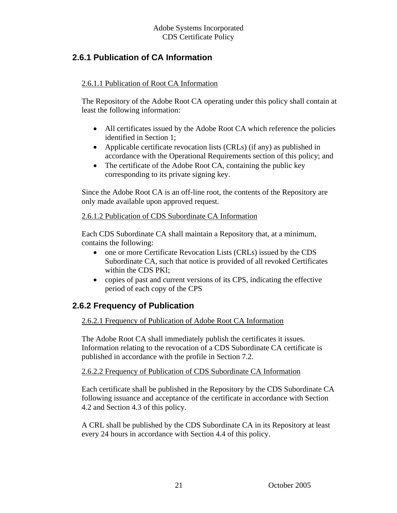#### <span id="page-20-0"></span> **2.6.1 Publication of CA Information**

#### 2.6.1.1 Publication of Root CA Information

The Repository of the Adobe Root CA operating under this policy shall contain at least the following information:

- All certificates issued by the Adobe Root CA which reference the policies identified in Section 1;
- Applicable certificate revocation lists (CRLs) (if any) as published in accordance with the Operational Requirements section of this policy; and
- The certificate of the Adobe Root CA, containing the public key corresponding to its private signing key.

Since the Adobe Root CA is an off-line root, the contents of the Repository are only made available upon approved request.

#### 2.6.1.2 Publication of CDS Subordinate CA Information

Each CDS Subordinate CA shall maintain a Repository that, at a minimum, contains the following:

- one or more Certificate Revocation Lists (CRLs) issued by the CDS Subordinate CA, such that notice is provided of all revoked Certificates within the CDS PKI;
- copies of past and current versions of its CPS, indicating the effective period of each copy of the CPS

#### **2.6.2 Frequency of Publication**

#### 2.6.2.1 Frequency of Publication of Adobe Root CA Information

The Adobe Root CA shall immediately publish the certificates it issues. Information relating to the revocation of a CDS Subordinate CA certificate is published in accordance with the profile in Section 7.2.

#### 2.6.2.2 Frequency of Publication of CDS Subordinate CA Information

Each certificate shall be published in the Repository by the CDS Subordinate CA following issuance and acceptance of the certificate in accordance with Section 4.2 and Section 4.3 of this policy.

A CRL shall be published by the CDS Subordinate CA in its Repository at least every 24 hours in accordance with Section 4.4 of this policy.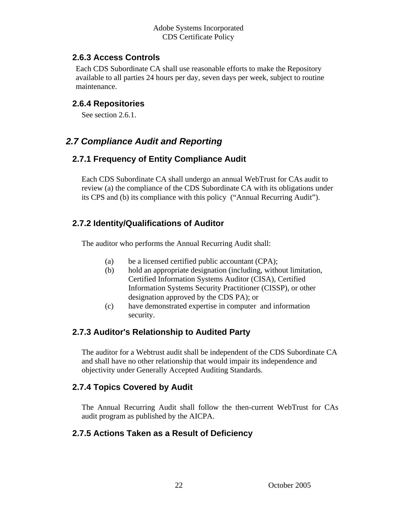#### <span id="page-21-0"></span> **2.6.3 Access Controls**

Each CDS Subordinate CA shall use reasonable efforts to make the Repository available to all parties 24 hours per day, seven days per week, subject to routine maintenance.

#### **2.6.4 Repositories**

See section 2.6.1.

## *2.7 Compliance Audit and Reporting*

#### **2.7.1 Frequency of Entity Compliance Audit**

Each CDS Subordinate CA shall undergo an annual WebTrust for CAs audit to review (a) the compliance of the CDS Subordinate CA with its obligations under its CPS and (b) its compliance with this policy ("Annual Recurring Audit").

#### **2.7.2 Identity/Qualifications of Auditor**

The auditor who performs the Annual Recurring Audit shall:

- (a) be a licensed certified public accountant (CPA);
- (b) hold an appropriate designation (including, without limitation, Certified Information Systems Auditor (CISA), Certified Information Systems Security Practitioner (CISSP), or other designation approved by the CDS PA); or
- (c) have demonstrated expertise in computer and information security.

#### **2.7.3 Auditor's Relationship to Audited Party**

The auditor for a Webtrust audit shall be independent of the CDS Subordinate CA and shall have no other relationship that would impair its independence and objectivity under Generally Accepted Auditing Standards.

#### **2.7.4 Topics Covered by Audit**

The Annual Recurring Audit shall follow the then-current WebTrust for CAs audit program as published by the AICPA.

#### **2.7.5 Actions Taken as a Result of Deficiency**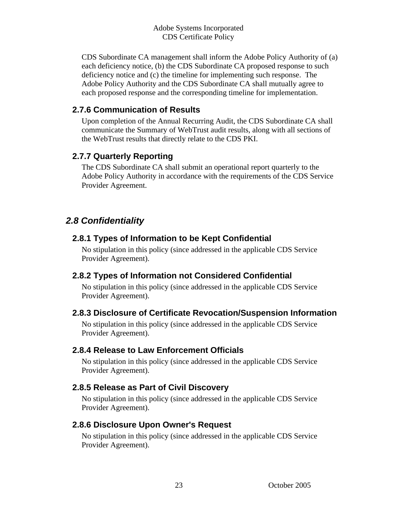<span id="page-22-0"></span>CDS Subordinate CA management shall inform the Adobe Policy Authority of (a) each deficiency notice, (b) the CDS Subordinate CA proposed response to such deficiency notice and (c) the timeline for implementing such response. The Adobe Policy Authority and the CDS Subordinate CA shall mutually agree to each proposed response and the corresponding timeline for implementation.

#### **2.7.6 Communication of Results**

Upon completion of the Annual Recurring Audit, the CDS Subordinate CA shall communicate the Summary of WebTrust audit results, along with all sections of the WebTrust results that directly relate to the CDS PKI.

#### **2.7.7 Quarterly Reporting**

The CDS Subordinate CA shall submit an operational report quarterly to the Adobe Policy Authority in accordance with the requirements of the CDS Service Provider Agreement.

#### *2.8 Confidentiality*

#### **2.8.1 Types of Information to be Kept Confidential**

No stipulation in this policy (since addressed in the applicable CDS Service Provider Agreement).

#### **2.8.2 Types of Information not Considered Confidential**

No stipulation in this policy (since addressed in the applicable CDS Service Provider Agreement).

#### **2.8.3 Disclosure of Certificate Revocation/Suspension Information**

No stipulation in this policy (since addressed in the applicable CDS Service Provider Agreement).

#### **2.8.4 Release to Law Enforcement Officials**

No stipulation in this policy (since addressed in the applicable CDS Service Provider Agreement).

#### **2.8.5 Release as Part of Civil Discovery**

No stipulation in this policy (since addressed in the applicable CDS Service Provider Agreement).

#### **2.8.6 Disclosure Upon Owner's Request**

No stipulation in this policy (since addressed in the applicable CDS Service Provider Agreement).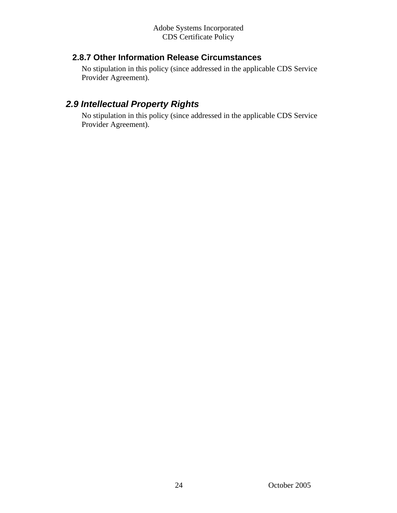#### <span id="page-23-0"></span> **2.8.7 Other Information Release Circumstances**

No stipulation in this policy (since addressed in the applicable CDS Service Provider Agreement).

## *2.9 Intellectual Property Rights*

No stipulation in this policy (since addressed in the applicable CDS Service Provider Agreement).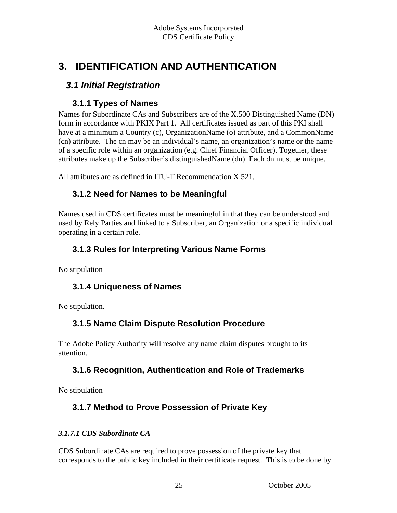# <span id="page-24-0"></span>**3. IDENTIFICATION AND AUTHENTICATION**

## *3.1 Initial Registration*

#### **3.1.1 Types of Names**

Names for Subordinate CAs and Subscribers are of the X.500 Distinguished Name (DN) form in accordance with PKIX Part 1. All certificates issued as part of this PKI shall have at a minimum a Country (c), OrganizationName (o) attribute, and a CommonName (cn) attribute. The cn may be an individual's name, an organization's name or the name of a specific role within an organization (e.g. Chief Financial Officer). Together, these attributes make up the Subscriber's distinguishedName (dn). Each dn must be unique.

All attributes are as defined in ITU-T Recommendation X.521.

#### **3.1.2 Need for Names to be Meaningful**

Names used in CDS certificates must be meaningful in that they can be understood and used by Rely Parties and linked to a Subscriber, an Organization or a specific individual operating in a certain role.

#### **3.1.3 Rules for Interpreting Various Name Forms**

No stipulation

#### **3.1.4 Uniqueness of Names**

No stipulation.

#### **3.1.5 Name Claim Dispute Resolution Procedure**

The Adobe Policy Authority will resolve any name claim disputes brought to its attention.

#### **3.1.6 Recognition, Authentication and Role of Trademarks**

No stipulation

#### **3.1.7 Method to Prove Possession of Private Key**

#### *3.1.7.1 CDS Subordinate CA*

CDS Subordinate CAs are required to prove possession of the private key that corresponds to the public key included in their certificate request. This is to be done by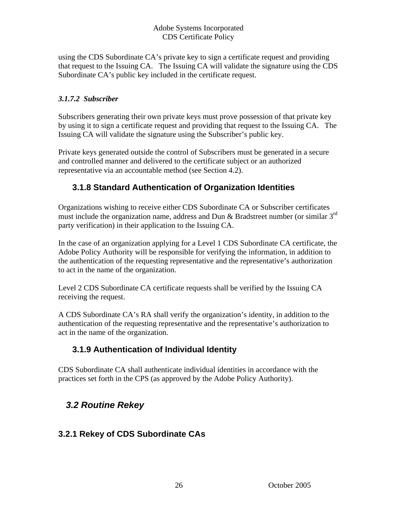<span id="page-25-0"></span>using the CDS Subordinate CA's private key to sign a certificate request and providing that request to the Issuing CA. The Issuing CA will validate the signature using the CDS Subordinate CA's public key included in the certificate request.

#### *3.1.7.2 Subscriber*

Subscribers generating their own private keys must prove possession of that private key by using it to sign a certificate request and providing that request to the Issuing CA. The Issuing CA will validate the signature using the Subscriber's public key.

Private keys generated outside the control of Subscribers must be generated in a secure and controlled manner and delivered to the certificate subject or an authorized representative via an accountable method (see Section 4.2).

#### **3.1.8 Standard Authentication of Organization Identities**

Organizations wishing to receive either CDS Subordinate CA or Subscriber certificates must include the organization name, address and Dun & Bradstreet number (or similar 3<sup>rd</sup> party verification) in their application to the Issuing CA.

In the case of an organization applying for a Level 1 CDS Subordinate CA certificate, the Adobe Policy Authority will be responsible for verifying the information, in addition to the authentication of the requesting representative and the representative's authorization to act in the name of the organization.

Level 2 CDS Subordinate CA certificate requests shall be verified by the Issuing CA receiving the request.

A CDS Subordinate CA's RA shall verify the organization's identity, in addition to the authentication of the requesting representative and the representative's authorization to act in the name of the organization.

#### **3.1.9 Authentication of Individual Identity**

CDS Subordinate CA shall authenticate individual identities in accordance with the practices set forth in the CPS (as approved by the Adobe Policy Authority).

## *3.2 Routine Rekey*

#### **3.2.1 Rekey of CDS Subordinate CAs**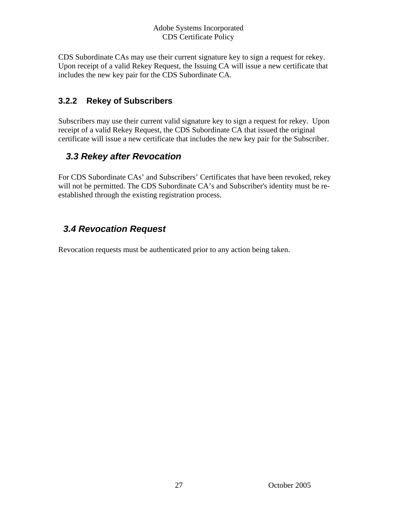<span id="page-26-0"></span>CDS Subordinate CAs may use their current signature key to sign a request for rekey. Upon receipt of a valid Rekey Request, the Issuing CA will issue a new certificate that includes the new key pair for the CDS Subordinate CA.

#### **3.2.2 Rekey of Subscribers**

Subscribers may use their current valid signature key to sign a request for rekey. Upon receipt of a valid Rekey Request, the CDS Subordinate CA that issued the original certificate will issue a new certificate that includes the new key pair for the Subscriber.

## *3.3 Rekey after Revocation*

For CDS Subordinate CAs' and Subscribers' Certificates that have been revoked, rekey will not be permitted. The CDS Subordinate CA's and Subscriber's identity must be reestablished through the existing registration process.

## *3.4 Revocation Request*

Revocation requests must be authenticated prior to any action being taken.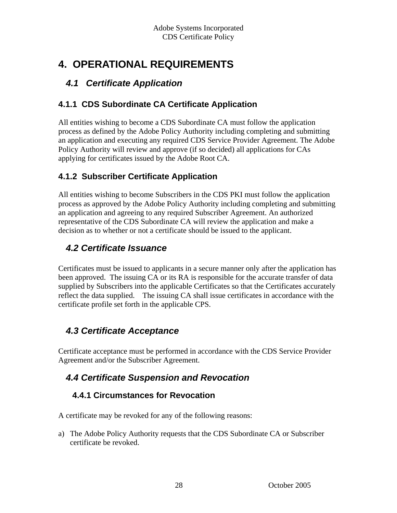# <span id="page-27-0"></span>**4. OPERATIONAL REQUIREMENTS**

## *4.1 Certificate Application*

### **4.1.1 CDS Subordinate CA Certificate Application**

All entities wishing to become a CDS Subordinate CA must follow the application process as defined by the Adobe Policy Authority including completing and submitting an application and executing any required CDS Service Provider Agreement. The Adobe Policy Authority will review and approve (if so decided) all applications for CAs applying for certificates issued by the Adobe Root CA.

## **4.1.2 Subscriber Certificate Application**

All entities wishing to become Subscribers in the CDS PKI must follow the application process as approved by the Adobe Policy Authority including completing and submitting an application and agreeing to any required Subscriber Agreement. An authorized representative of the CDS Subordinate CA will review the application and make a decision as to whether or not a certificate should be issued to the applicant.

## *4.2 Certificate Issuance*

Certificates must be issued to applicants in a secure manner only after the application has been approved. The issuing CA or its RA is responsible for the accurate transfer of data supplied by Subscribers into the applicable Certificates so that the Certificates accurately reflect the data supplied. The issuing CA shall issue certificates in accordance with the certificate profile set forth in the applicable CPS.

## *4.3 Certificate Acceptance*

Certificate acceptance must be performed in accordance with the CDS Service Provider Agreement and/or the Subscriber Agreement.

## *4.4 Certificate Suspension and Revocation*

#### **4.4.1 Circumstances for Revocation**

A certificate may be revoked for any of the following reasons:

a) The Adobe Policy Authority requests that the CDS Subordinate CA or Subscriber certificate be revoked.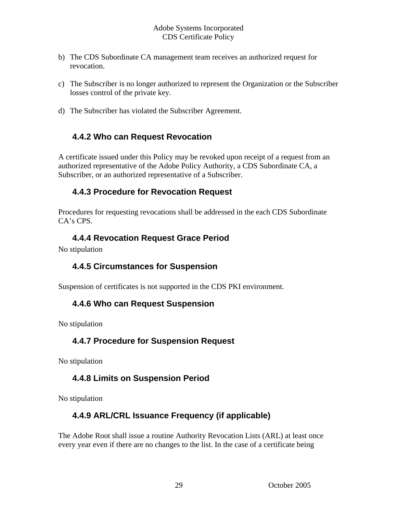- <span id="page-28-0"></span>b) The CDS Subordinate CA management team receives an authorized request for revocation.
- c) The Subscriber is no longer authorized to represent the Organization or the Subscriber losses control of the private key.
- d) The Subscriber has violated the Subscriber Agreement.

#### **4.4.2 Who can Request Revocation**

A certificate issued under this Policy may be revoked upon receipt of a request from an authorized representative of the Adobe Policy Authority, a CDS Subordinate CA, a Subscriber, or an authorized representative of a Subscriber.

#### **4.4.3 Procedure for Revocation Request**

Procedures for requesting revocations shall be addressed in the each CDS Subordinate CA's CPS.

#### **4.4.4 Revocation Request Grace Period**

No stipulation

#### **4.4.5 Circumstances for Suspension**

Suspension of certificates is not supported in the CDS PKI environment.

#### **4.4.6 Who can Request Suspension**

No stipulation

#### **4.4.7 Procedure for Suspension Request**

No stipulation

#### **4.4.8 Limits on Suspension Period**

No stipulation

#### **4.4.9 ARL/CRL Issuance Frequency (if applicable)**

The Adobe Root shall issue a routine Authority Revocation Lists (ARL) at least once every year even if there are no changes to the list. In the case of a certificate being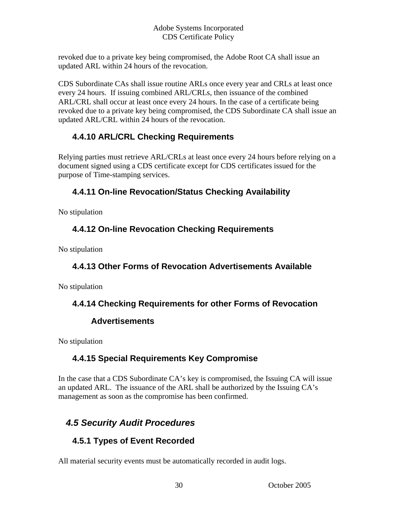<span id="page-29-0"></span>revoked due to a private key being compromised, the Adobe Root CA shall issue an updated ARL within 24 hours of the revocation.

CDS Subordinate CAs shall issue routine ARLs once every year and CRLs at least once every 24 hours. If issuing combined ARL/CRLs, then issuance of the combined ARL/CRL shall occur at least once every 24 hours. In the case of a certificate being revoked due to a private key being compromised, the CDS Subordinate CA shall issue an updated ARL/CRL within 24 hours of the revocation.

#### **4.4.10 ARL/CRL Checking Requirements**

Relying parties must retrieve ARL/CRLs at least once every 24 hours before relying on a document signed using a CDS certificate except for CDS certificates issued for the purpose of Time-stamping services.

#### **4.4.11 On-line Revocation/Status Checking Availability**

No stipulation

#### **4.4.12 On-line Revocation Checking Requirements**

No stipulation

#### **4.4.13 Other Forms of Revocation Advertisements Available**

No stipulation

#### **4.4.14 Checking Requirements for other Forms of Revocation**

#### **Advertisements**

No stipulation

#### **4.4.15 Special Requirements Key Compromise**

In the case that a CDS Subordinate CA's key is compromised, the Issuing CA will issue an updated ARL. The issuance of the ARL shall be authorized by the Issuing CA's management as soon as the compromise has been confirmed.

## *4.5 Security Audit Procedures*

## **4.5.1 Types of Event Recorded**

All material security events must be automatically recorded in audit logs.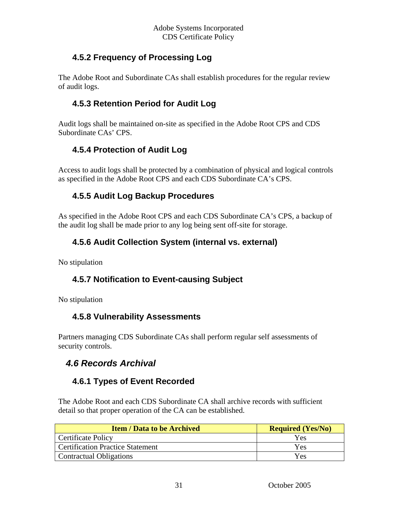#### <span id="page-30-0"></span> **4.5.2 Frequency of Processing Log**

The Adobe Root and Subordinate CAs shall establish procedures for the regular review of audit logs.

#### **4.5.3 Retention Period for Audit Log**

Audit logs shall be maintained on-site as specified in the Adobe Root CPS and CDS Subordinate CAs' CPS.

#### **4.5.4 Protection of Audit Log**

Access to audit logs shall be protected by a combination of physical and logical controls as specified in the Adobe Root CPS and each CDS Subordinate CA's CPS.

#### **4.5.5 Audit Log Backup Procedures**

As specified in the Adobe Root CPS and each CDS Subordinate CA's CPS, a backup of the audit log shall be made prior to any log being sent off-site for storage.

#### **4.5.6 Audit Collection System (internal vs. external)**

No stipulation

#### **4.5.7 Notification to Event-causing Subject**

No stipulation

#### **4.5.8 Vulnerability Assessments**

Partners managing CDS Subordinate CAs shall perform regular self assessments of security controls.

## *4.6 Records Archival*

#### **4.6.1 Types of Event Recorded**

The Adobe Root and each CDS Subordinate CA shall archive records with sufficient detail so that proper operation of the CA can be established.

| <b>Item / Data to be Archived</b>       | <b>Required (Yes/No)</b> |
|-----------------------------------------|--------------------------|
| <b>Certificate Policy</b>               | Yes                      |
| <b>Certification Practice Statement</b> | <b>Yes</b>               |
| Contractual Obligations                 | Yes                      |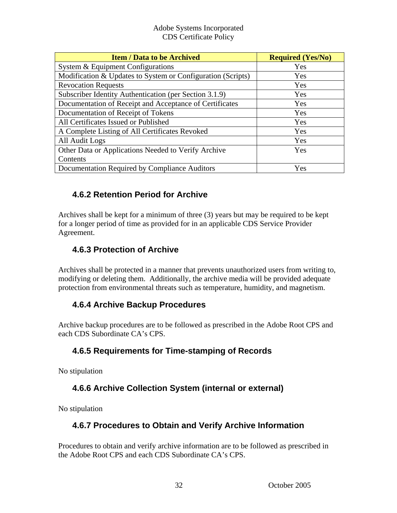<span id="page-31-0"></span>

| <b>Item / Data to be Archived</b>                           | <b>Required (Yes/No)</b> |
|-------------------------------------------------------------|--------------------------|
| System & Equipment Configurations                           | Yes                      |
| Modification & Updates to System or Configuration (Scripts) | Yes                      |
| <b>Revocation Requests</b>                                  | Yes                      |
| Subscriber Identity Authentication (per Section 3.1.9)      | Yes                      |
| Documentation of Receipt and Acceptance of Certificates     | Yes                      |
| Documentation of Receipt of Tokens                          | Yes                      |
| All Certificates Issued or Published                        | Yes                      |
| A Complete Listing of All Certificates Revoked              | Yes                      |
| All Audit Logs                                              | Yes                      |
| Other Data or Applications Needed to Verify Archive         | Yes                      |
| Contents                                                    |                          |
| Documentation Required by Compliance Auditors               | Yes                      |

#### **4.6.2 Retention Period for Archive**

Archives shall be kept for a minimum of three (3) years but may be required to be kept for a longer period of time as provided for in an applicable CDS Service Provider Agreement.

#### **4.6.3 Protection of Archive**

Archives shall be protected in a manner that prevents unauthorized users from writing to, modifying or deleting them. Additionally, the archive media will be provided adequate protection from environmental threats such as temperature, humidity, and magnetism.

#### **4.6.4 Archive Backup Procedures**

Archive backup procedures are to be followed as prescribed in the Adobe Root CPS and each CDS Subordinate CA's CPS.

#### **4.6.5 Requirements for Time-stamping of Records**

No stipulation

#### **4.6.6 Archive Collection System (internal or external)**

No stipulation

#### **4.6.7 Procedures to Obtain and Verify Archive Information**

Procedures to obtain and verify archive information are to be followed as prescribed in the Adobe Root CPS and each CDS Subordinate CA's CPS.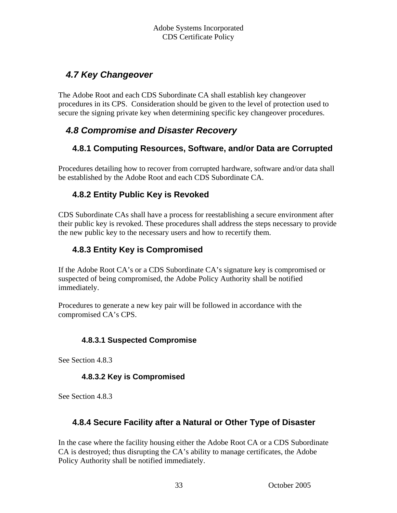## <span id="page-32-0"></span> *4.7 Key Changeover*

The Adobe Root and each CDS Subordinate CA shall establish key changeover procedures in its CPS. Consideration should be given to the level of protection used to secure the signing private key when determining specific key changeover procedures.

## *4.8 Compromise and Disaster Recovery*

#### **4.8.1 Computing Resources, Software, and/or Data are Corrupted**

Procedures detailing how to recover from corrupted hardware, software and/or data shall be established by the Adobe Root and each CDS Subordinate CA.

#### **4.8.2 Entity Public Key is Revoked**

CDS Subordinate CAs shall have a process for reestablishing a secure environment after their public key is revoked. These procedures shall address the steps necessary to provide the new public key to the necessary users and how to recertify them.

#### **4.8.3 Entity Key is Compromised**

If the Adobe Root CA's or a CDS Subordinate CA's signature key is compromised or suspected of being compromised, the Adobe Policy Authority shall be notified immediately.

Procedures to generate a new key pair will be followed in accordance with the compromised CA's CPS.

#### **4.8.3.1 Suspected Compromise**

See Section 4.8.3

#### **4.8.3.2 Key is Compromised**

See Section 4.8.3

#### **4.8.4 Secure Facility after a Natural or Other Type of Disaster**

In the case where the facility housing either the Adobe Root CA or a CDS Subordinate CA is destroyed; thus disrupting the CA's ability to manage certificates, the Adobe Policy Authority shall be notified immediately.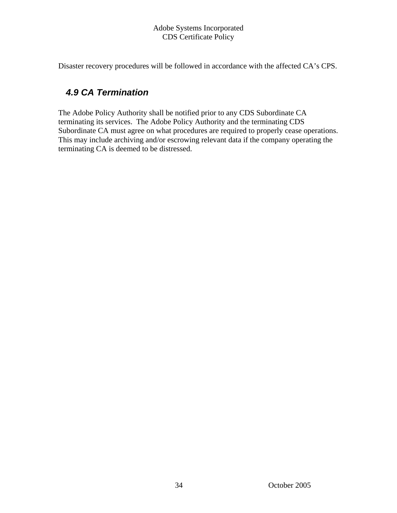<span id="page-33-0"></span>Disaster recovery procedures will be followed in accordance with the affected CA's CPS.

## *4.9 CA Termination*

The Adobe Policy Authority shall be notified prior to any CDS Subordinate CA terminating its services. The Adobe Policy Authority and the terminating CDS Subordinate CA must agree on what procedures are required to properly cease operations. This may include archiving and/or escrowing relevant data if the company operating the terminating CA is deemed to be distressed.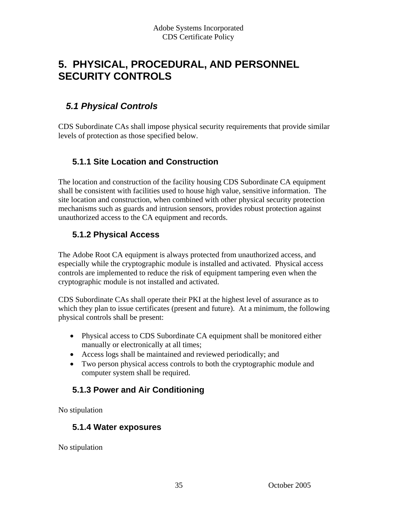## <span id="page-34-0"></span>**5. PHYSICAL, PROCEDURAL, AND PERSONNEL SECURITY CONTROLS**

## *5.1 Physical Controls*

CDS Subordinate CAs shall impose physical security requirements that provide similar levels of protection as those specified below.

#### **5.1.1 Site Location and Construction**

The location and construction of the facility housing CDS Subordinate CA equipment shall be consistent with facilities used to house high value, sensitive information. The site location and construction, when combined with other physical security protection mechanisms such as guards and intrusion sensors, provides robust protection against unauthorized access to the CA equipment and records.

#### **5.1.2 Physical Access**

The Adobe Root CA equipment is always protected from unauthorized access, and especially while the cryptographic module is installed and activated. Physical access controls are implemented to reduce the risk of equipment tampering even when the cryptographic module is not installed and activated.

CDS Subordinate CAs shall operate their PKI at the highest level of assurance as to which they plan to issue certificates (present and future). At a minimum, the following physical controls shall be present:

- Physical access to CDS Subordinate CA equipment shall be monitored either manually or electronically at all times;
- Access logs shall be maintained and reviewed periodically; and
- Two person physical access controls to both the cryptographic module and computer system shall be required.

#### **5.1.3 Power and Air Conditioning**

No stipulation

#### **5.1.4 Water exposures**

No stipulation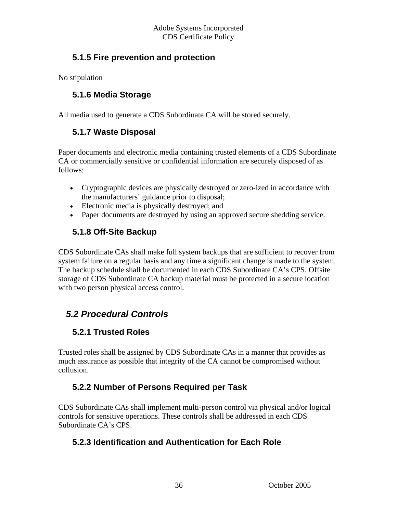#### <span id="page-35-0"></span> **5.1.5 Fire prevention and protection**

No stipulation

#### **5.1.6 Media Storage**

All media used to generate a CDS Subordinate CA will be stored securely.

#### **5.1.7 Waste Disposal**

Paper documents and electronic media containing trusted elements of a CDS Subordinate CA or commercially sensitive or confidential information are securely disposed of as follows:

- Cryptographic devices are physically destroyed or zero-ized in accordance with the manufacturers' guidance prior to disposal;
- Electronic media is physically destroyed; and
- Paper documents are destroyed by using an approved secure shedding service.

#### **5.1.8 Off-Site Backup**

CDS Subordinate CAs shall make full system backups that are sufficient to recover from system failure on a regular basis and any time a significant change is made to the system. The backup schedule shall be documented in each CDS Subordinate CA's CPS. Offsite storage of CDS Subordinate CA backup material must be protected in a secure location with two person physical access control.

## *5.2 Procedural Controls*

#### **5.2.1 Trusted Roles**

Trusted roles shall be assigned by CDS Subordinate CAs in a manner that provides as much assurance as possible that integrity of the CA cannot be compromised without collusion.

#### **5.2.2 Number of Persons Required per Task**

CDS Subordinate CAs shall implement multi-person control via physical and/or logical controls for sensitive operations. These controls shall be addressed in each CDS Subordinate CA's CPS.

#### **5.2.3 Identification and Authentication for Each Role**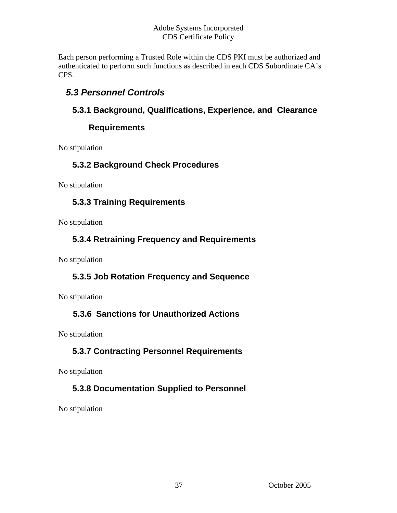<span id="page-36-0"></span>Each person performing a Trusted Role within the CDS PKI must be authorized and authenticated to perform such functions as described in each CDS Subordinate CA's CPS.

## *5.3 Personnel Controls*

#### **5.3.1 Background, Qualifications, Experience, and Clearance**

#### **Requirements**

No stipulation

#### **5.3.2 Background Check Procedures**

No stipulation

#### **5.3.3 Training Requirements**

No stipulation

#### **5.3.4 Retraining Frequency and Requirements**

No stipulation

#### **5.3.5 Job Rotation Frequency and Sequence**

No stipulation

#### **5.3.6 Sanctions for Unauthorized Actions**

No stipulation

#### **5.3.7 Contracting Personnel Requirements**

No stipulation

#### **5.3.8 Documentation Supplied to Personnel**

No stipulation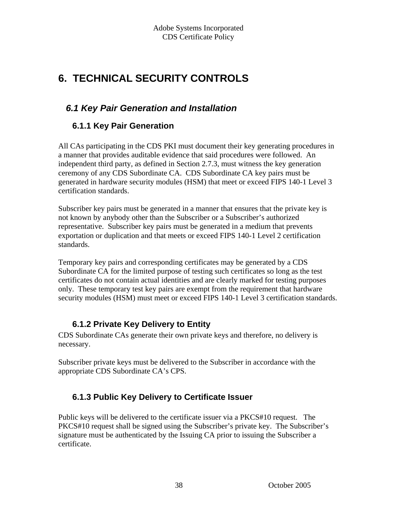# <span id="page-37-0"></span>**6. TECHNICAL SECURITY CONTROLS**

## *6.1 Key Pair Generation and Installation*

#### **6.1.1 Key Pair Generation**

All CAs participating in the CDS PKI must document their key generating procedures in a manner that provides auditable evidence that said procedures were followed. An independent third party, as defined in Section 2.7.3, must witness the key generation ceremony of any CDS Subordinate CA. CDS Subordinate CA key pairs must be generated in hardware security modules (HSM) that meet or exceed FIPS 140-1 Level 3 certification standards.

Subscriber key pairs must be generated in a manner that ensures that the private key is not known by anybody other than the Subscriber or a Subscriber's authorized representative. Subscriber key pairs must be generated in a medium that prevents exportation or duplication and that meets or exceed FIPS 140-1 Level 2 certification standards.

Temporary key pairs and corresponding certificates may be generated by a CDS Subordinate CA for the limited purpose of testing such certificates so long as the test certificates do not contain actual identities and are clearly marked for testing purposes only. These temporary test key pairs are exempt from the requirement that hardware security modules (HSM) must meet or exceed FIPS 140-1 Level 3 certification standards.

#### **6.1.2 Private Key Delivery to Entity**

CDS Subordinate CAs generate their own private keys and therefore, no delivery is necessary.

Subscriber private keys must be delivered to the Subscriber in accordance with the appropriate CDS Subordinate CA's CPS.

#### **6.1.3 Public Key Delivery to Certificate Issuer**

Public keys will be delivered to the certificate issuer via a PKCS#10 request. The PKCS#10 request shall be signed using the Subscriber's private key. The Subscriber's signature must be authenticated by the Issuing CA prior to issuing the Subscriber a certificate.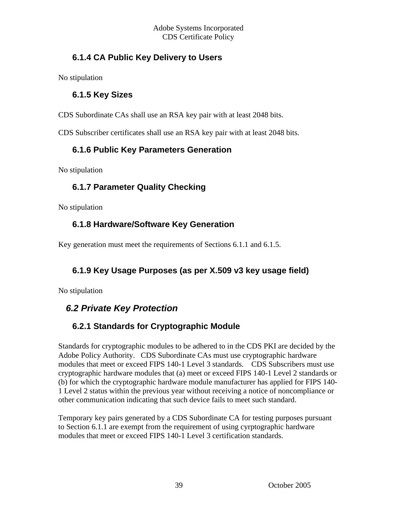#### <span id="page-38-0"></span> **6.1.4 CA Public Key Delivery to Users**

No stipulation

#### **6.1.5 Key Sizes**

CDS Subordinate CAs shall use an RSA key pair with at least 2048 bits.

CDS Subscriber certificates shall use an RSA key pair with at least 2048 bits.

#### **6.1.6 Public Key Parameters Generation**

No stipulation

#### **6.1.7 Parameter Quality Checking**

No stipulation

#### **6.1.8 Hardware/Software Key Generation**

Key generation must meet the requirements of Sections 6.1.1 and 6.1.5.

#### **6.1.9 Key Usage Purposes (as per X.509 v3 key usage field)**

No stipulation

## *6.2 Private Key Protection*

## **6.2.1 Standards for Cryptographic Module**

Standards for cryptographic modules to be adhered to in the CDS PKI are decided by the Adobe Policy Authority. CDS Subordinate CAs must use cryptographic hardware modules that meet or exceed FIPS 140-1 Level 3 standards. CDS Subscribers must use cryptographic hardware modules that (a) meet or exceed FIPS 140-1 Level 2 standards or (b) for which the cryptographic hardware module manufacturer has applied for FIPS 140- 1 Level 2 status within the previous year without receiving a notice of noncompliance or other communication indicating that such device fails to meet such standard.

Temporary key pairs generated by a CDS Subordinate CA for testing purposes pursuant to Section 6.1.1 are exempt from the requirement of using cyrptographic hardware modules that meet or exceed FIPS 140-1 Level 3 certification standards.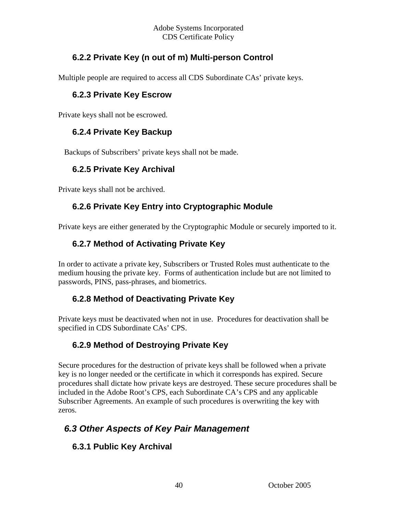#### <span id="page-39-0"></span> **6.2.2 Private Key (n out of m) Multi-person Control**

Multiple people are required to access all CDS Subordinate CAs' private keys.

#### **6.2.3 Private Key Escrow**

Private keys shall not be escrowed.

#### **6.2.4 Private Key Backup**

Backups of Subscribers' private keys shall not be made.

#### **6.2.5 Private Key Archival**

Private keys shall not be archived.

#### **6.2.6 Private Key Entry into Cryptographic Module**

Private keys are either generated by the Cryptographic Module or securely imported to it.

#### **6.2.7 Method of Activating Private Key**

In order to activate a private key, Subscribers or Trusted Roles must authenticate to the medium housing the private key. Forms of authentication include but are not limited to passwords, PINS, pass-phrases, and biometrics.

#### **6.2.8 Method of Deactivating Private Key**

Private keys must be deactivated when not in use. Procedures for deactivation shall be specified in CDS Subordinate CAs' CPS.

#### **6.2.9 Method of Destroying Private Key**

Secure procedures for the destruction of private keys shall be followed when a private key is no longer needed or the certificate in which it corresponds has expired. Secure procedures shall dictate how private keys are destroyed. These secure procedures shall be included in the Adobe Root's CPS, each Subordinate CA's CPS and any applicable Subscriber Agreements. An example of such procedures is overwriting the key with zeros.

## *6.3 Other Aspects of Key Pair Management*

#### **6.3.1 Public Key Archival**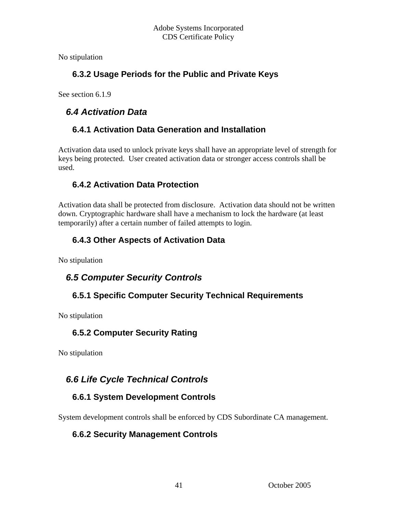<span id="page-40-0"></span>No stipulation

#### **6.3.2 Usage Periods for the Public and Private Keys**

See section 6.1.9

## *6.4 Activation Data*

#### **6.4.1 Activation Data Generation and Installation**

Activation data used to unlock private keys shall have an appropriate level of strength for keys being protected. User created activation data or stronger access controls shall be used.

#### **6.4.2 Activation Data Protection**

Activation data shall be protected from disclosure. Activation data should not be written down. Cryptographic hardware shall have a mechanism to lock the hardware (at least temporarily) after a certain number of failed attempts to login.

## **6.4.3 Other Aspects of Activation Data**

No stipulation

## *6.5 Computer Security Controls*

## **6.5.1 Specific Computer Security Technical Requirements**

No stipulation

#### **6.5.2 Computer Security Rating**

No stipulation

## *6.6 Life Cycle Technical Controls*

## **6.6.1 System Development Controls**

System development controls shall be enforced by CDS Subordinate CA management.

#### **6.6.2 Security Management Controls**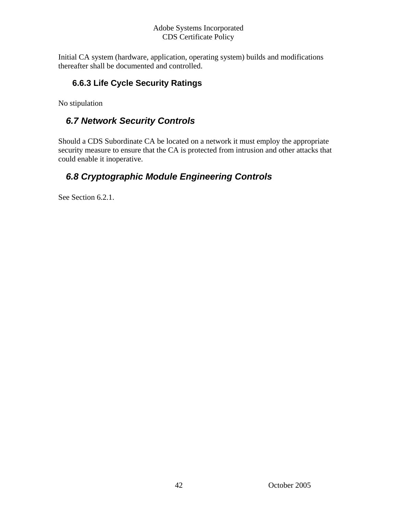<span id="page-41-0"></span>Initial CA system (hardware, application, operating system) builds and modifications thereafter shall be documented and controlled.

#### **6.6.3 Life Cycle Security Ratings**

No stipulation

## *6.7 Network Security Controls*

Should a CDS Subordinate CA be located on a network it must employ the appropriate security measure to ensure that the CA is protected from intrusion and other attacks that could enable it inoperative.

## *6.8 Cryptographic Module Engineering Controls*

See Section 6.2.1.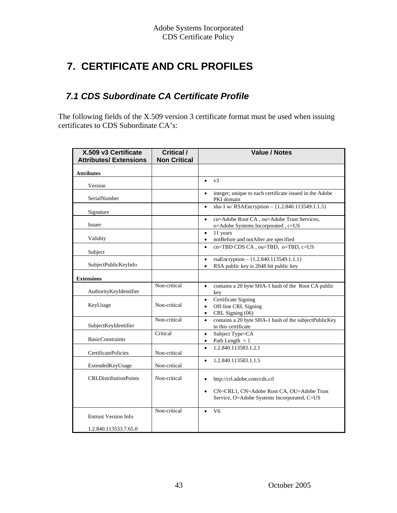# <span id="page-42-0"></span> **7. CERTIFICATE AND CRL PROFILES**

## *7.1 CDS Subordinate CA Certificate Profile*

The following fields of the X.509 version 3 certificate format must be used when issuing certificates to CDS Subordinate CA's:

| X.509 v3 Certificate<br><b>Attributes/Extensions</b> | <b>Critical /</b><br><b>Non Critical</b> | <b>Value / Notes</b>                                                                                      |
|------------------------------------------------------|------------------------------------------|-----------------------------------------------------------------------------------------------------------|
| <b>Attributes</b>                                    |                                          |                                                                                                           |
| Version                                              |                                          | v3<br>$\bullet$                                                                                           |
| SerialNumber                                         |                                          | integer; unique to each certificate issued in the Adobe<br>PKI domain                                     |
| Signature                                            |                                          | sha-1 w/RSAEncryption - {1.2.840.113549.1.1.5}<br>$\bullet$                                               |
| Issuer                                               |                                          | cn=Adobe Root CA, ou=Adobe Trust Services,<br>$\bullet$<br>o=Adobe Systems Incorporated, c=US             |
| Validity                                             |                                          | 11 years<br>$\bullet$<br>notBefore and notAfter are specified<br>$\bullet$                                |
| Subject                                              |                                          | cn=TBD CDS CA, ou=TBD, o=TBD, c=US<br>$\bullet$                                                           |
| SubjectPublicKeyInfo                                 |                                          | rsaEncryption - {1.2.840.113549.1.1.1}<br>$\bullet$<br>RSA public key is 2048 bit public key<br>$\bullet$ |
| <b>Extensions</b>                                    |                                          |                                                                                                           |
| AuthorityKeyIdentifier                               | Non-critical                             | contains a 20 byte SHA-1 hash of the Root CA public<br>$\bullet$<br>key                                   |
| KeyUsage                                             | Non-critical                             | Certificate Signing<br>٠<br>Off-line CRL Signing<br>$\bullet$<br>CRL Signing (06)<br>$\bullet$            |
| SubjectKeyIdentifier                                 | Non-critical                             | contains a 20 byte SHA-1 hash of the subjectPublicKey<br>$\bullet$<br>in this certificate                 |
| <b>BasicConstraints</b>                              | Critical                                 | Subject Type=CA<br>$\bullet$<br>Path Length $= 1$<br>$\bullet$                                            |
| <b>CertificatePolicies</b>                           | Non-critical                             | 1.2.840.113583.1.2.1<br>$\bullet$                                                                         |
| ExtendedKeyUsage                                     | Non-critical                             | 1.2.840.113583.1.1.5<br>$\bullet$                                                                         |
| <b>CRLDistributionPoints</b>                         | Non-critical                             | http://crl.adobe.com/cds.crl<br>$\bullet$                                                                 |
|                                                      |                                          | CN=CRL1, CN=Adobe Root CA, OU=Adobe Trust<br>$\bullet$<br>Service, O=Adobe Systems Incorporated, C=US     |
| <b>Entrust Version Info</b>                          | Non-critical                             | V <sub>6</sub><br>$\bullet$                                                                               |
| 1.2.840.113533.7.65.0                                |                                          |                                                                                                           |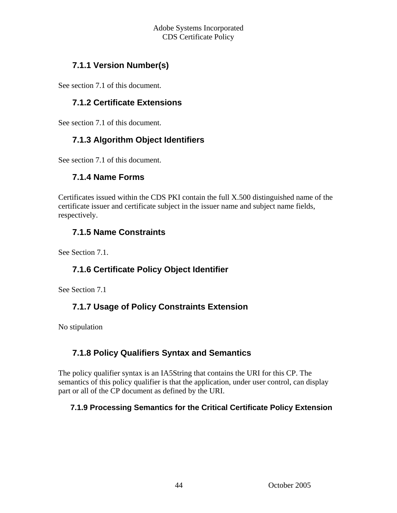#### <span id="page-43-0"></span> **7.1.1 Version Number(s)**

See section 7.1 of this document.

#### **7.1.2 Certificate Extensions**

See section 7.1 of this document.

#### **7.1.3 Algorithm Object Identifiers**

See section 7.1 of this document.

#### **7.1.4 Name Forms**

Certificates issued within the CDS PKI contain the full X.500 distinguished name of the certificate issuer and certificate subject in the issuer name and subject name fields, respectively.

#### **7.1.5 Name Constraints**

See Section 7.1.

#### **7.1.6 Certificate Policy Object Identifier**

See Section 7.1

#### **7.1.7 Usage of Policy Constraints Extension**

No stipulation

#### **7.1.8 Policy Qualifiers Syntax and Semantics**

The policy qualifier syntax is an IA5String that contains the URI for this CP. The semantics of this policy qualifier is that the application, under user control, can display part or all of the CP document as defined by the URI.

#### **7.1.9 Processing Semantics for the Critical Certificate Policy Extension**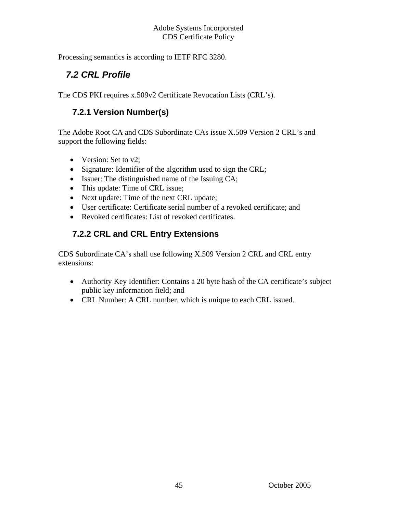<span id="page-44-0"></span>Processing semantics is according to IETF RFC 3280.

## *7.2 CRL Profile*

The CDS PKI requires x.509v2 Certificate Revocation Lists (CRL's).

### **7.2.1 Version Number(s)**

The Adobe Root CA and CDS Subordinate CAs issue X.509 Version 2 CRL's and support the following fields:

- Version: Set to v2;
- Signature: Identifier of the algorithm used to sign the CRL;
- Issuer: The distinguished name of the Issuing CA;
- This update: Time of CRL issue;
- Next update: Time of the next CRL update;
- User certificate: Certificate serial number of a revoked certificate; and
- Revoked certificates: List of revoked certificates.

## **7.2.2 CRL and CRL Entry Extensions**

CDS Subordinate CA's shall use following X.509 Version 2 CRL and CRL entry extensions:

- Authority Key Identifier: Contains a 20 byte hash of the CA certificate's subject public key information field; and
- CRL Number: A CRL number, which is unique to each CRL issued.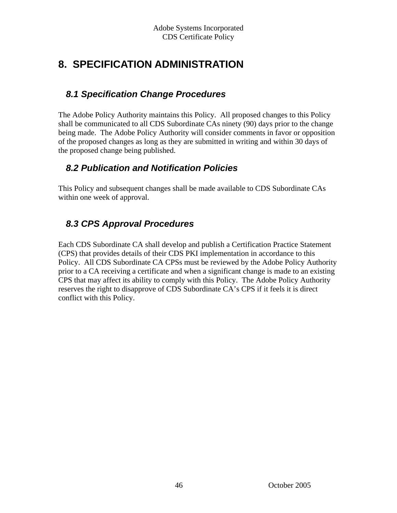# <span id="page-45-0"></span>**8. SPECIFICATION ADMINISTRATION**

## *8.1 Specification Change Procedures*

The Adobe Policy Authority maintains this Policy. All proposed changes to this Policy shall be communicated to all CDS Subordinate CAs ninety (90) days prior to the change being made. The Adobe Policy Authority will consider comments in favor or opposition of the proposed changes as long as they are submitted in writing and within 30 days of the proposed change being published.

## *8.2 Publication and Notification Policies*

This Policy and subsequent changes shall be made available to CDS Subordinate CAs within one week of approval.

## *8.3 CPS Approval Procedures*

Each CDS Subordinate CA shall develop and publish a Certification Practice Statement (CPS) that provides details of their CDS PKI implementation in accordance to this Policy. All CDS Subordinate CA CPSs must be reviewed by the Adobe Policy Authority prior to a CA receiving a certificate and when a significant change is made to an existing CPS that may affect its ability to comply with this Policy. The Adobe Policy Authority reserves the right to disapprove of CDS Subordinate CA's CPS if it feels it is direct conflict with this Policy.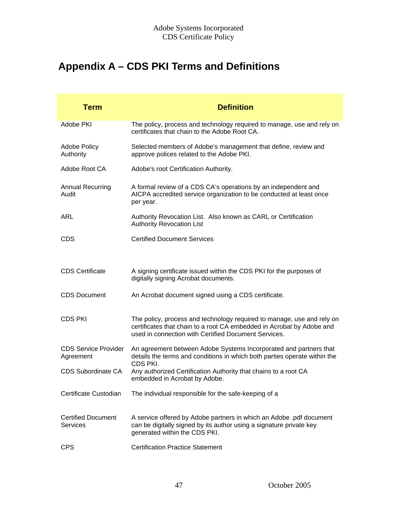# <span id="page-46-0"></span>**Appendix A – CDS PKI Terms and Definitions**

| <b>Term</b>                                  | <b>Definition</b>                                                                                                                                                                                       |
|----------------------------------------------|---------------------------------------------------------------------------------------------------------------------------------------------------------------------------------------------------------|
| Adobe PKI                                    | The policy, process and technology required to manage, use and rely on<br>certificates that chain to the Adobe Root CA.                                                                                 |
| <b>Adobe Policy</b><br>Authority             | Selected members of Adobe's management that define, review and<br>approve polices related to the Adobe PKI.                                                                                             |
| Adobe Root CA                                | Adobe's root Certification Authority.                                                                                                                                                                   |
| <b>Annual Recurring</b><br>Audit             | A formal review of a CDS CA's operations by an independent and<br>AICPA accredited service organization to be conducted at least once<br>per year.                                                      |
| <b>ARL</b>                                   | Authority Revocation List. Also known as CARL or Certification<br><b>Authority Revocation List</b>                                                                                                      |
| <b>CDS</b>                                   | <b>Certified Document Services</b>                                                                                                                                                                      |
|                                              |                                                                                                                                                                                                         |
| <b>CDS Certificate</b>                       | A signing certificate issued within the CDS PKI for the purposes of<br>digitally signing Acrobat documents.                                                                                             |
| <b>CDS Document</b>                          | An Acrobat document signed using a CDS certificate.                                                                                                                                                     |
| <b>CDS PKI</b>                               | The policy, process and technology required to manage, use and rely on<br>certificates that chain to a root CA embedded in Acrobat by Adobe and<br>used in connection with Certified Document Services. |
| <b>CDS Service Provider</b><br>Agreement     | An agreement between Adobe Systems Incorporated and partners that<br>details the terms and conditions in which both parties operate within the                                                          |
| <b>CDS Subordinate CA</b>                    | CDS PKI.<br>Any authorized Certification Authority that chains to a root CA<br>embedded in Acrobat by Adobe.                                                                                            |
| Certificate Custodian                        | The individual responsible for the safe-keeping of a                                                                                                                                                    |
| <b>Certified Document</b><br><b>Services</b> | A service offered by Adobe partners in which an Adobe .pdf document<br>can be digitally signed by its author using a signature private key<br>generated within the CDS PKI.                             |
| <b>CPS</b>                                   | <b>Certification Practice Statement</b>                                                                                                                                                                 |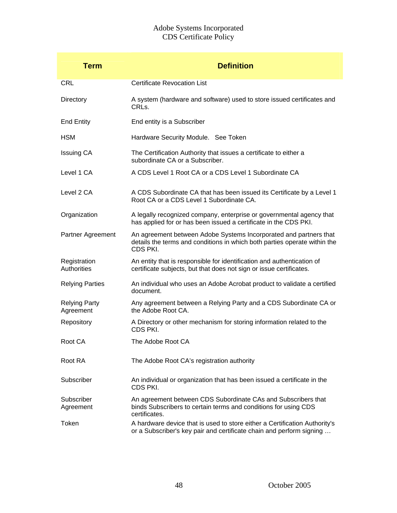| <b>Term</b>                       | <b>Definition</b>                                                                                                                                          |
|-----------------------------------|------------------------------------------------------------------------------------------------------------------------------------------------------------|
| <b>CRL</b>                        | <b>Certificate Revocation List</b>                                                                                                                         |
| Directory                         | A system (hardware and software) used to store issued certificates and<br>CRLs.                                                                            |
| <b>End Entity</b>                 | End entity is a Subscriber                                                                                                                                 |
| <b>HSM</b>                        | Hardware Security Module. See Token                                                                                                                        |
| <b>Issuing CA</b>                 | The Certification Authority that issues a certificate to either a<br>subordinate CA or a Subscriber.                                                       |
| Level 1 CA                        | A CDS Level 1 Root CA or a CDS Level 1 Subordinate CA                                                                                                      |
| Level 2 CA                        | A CDS Subordinate CA that has been issued its Certificate by a Level 1<br>Root CA or a CDS Level 1 Subordinate CA.                                         |
| Organization                      | A legally recognized company, enterprise or governmental agency that<br>has applied for or has been issued a certificate in the CDS PKI.                   |
| Partner Agreement                 | An agreement between Adobe Systems Incorporated and partners that<br>details the terms and conditions in which both parties operate within the<br>CDS PKI. |
| Registration<br>Authorities       | An entity that is responsible for identification and authentication of<br>certificate subjects, but that does not sign or issue certificates.              |
| <b>Relying Parties</b>            | An individual who uses an Adobe Acrobat product to validate a certified<br>document.                                                                       |
| <b>Relying Party</b><br>Agreement | Any agreement between a Relying Party and a CDS Subordinate CA or<br>the Adobe Root CA.                                                                    |
| Repository                        | A Directory or other mechanism for storing information related to the<br>CDS PKI.                                                                          |
| Root CA                           | The Adobe Root CA                                                                                                                                          |
| Root RA                           | The Adobe Root CA's registration authority                                                                                                                 |
| Subscriber                        | An individual or organization that has been issued a certificate in the<br>CDS PKI.                                                                        |
| Subscriber<br>Agreement           | An agreement between CDS Subordinate CAs and Subscribers that<br>binds Subscribers to certain terms and conditions for using CDS<br>certificates.          |
| Token                             | A hardware device that is used to store either a Certification Authority's<br>or a Subscriber's key pair and certificate chain and perform signing         |